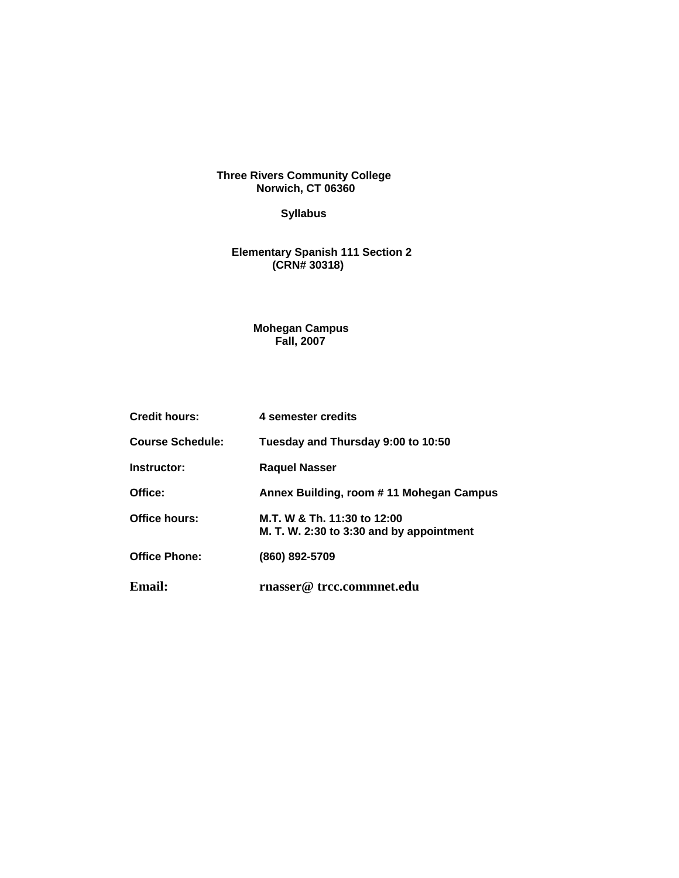**Three Rivers Community College Norwich, CT 06360** 

# **Syllabus**

#### **Elementary Spanish 111 Section 2 (CRN# 30318)**

#### **Mohegan Campus Fall, 2007**

| <b>Credit hours:</b>    | 4 semester credits                                                      |  |
|-------------------------|-------------------------------------------------------------------------|--|
| <b>Course Schedule:</b> | Tuesday and Thursday 9:00 to 10:50                                      |  |
| Instructor:             | <b>Raguel Nasser</b>                                                    |  |
| Office:                 | Annex Building, room #11 Mohegan Campus                                 |  |
| Office hours:           | M.T. W & Th. 11:30 to 12:00<br>M. T. W. 2:30 to 3:30 and by appointment |  |
| <b>Office Phone:</b>    | (860) 892-5709                                                          |  |
| Email:                  | rnasser@ trcc.commnet.edu                                               |  |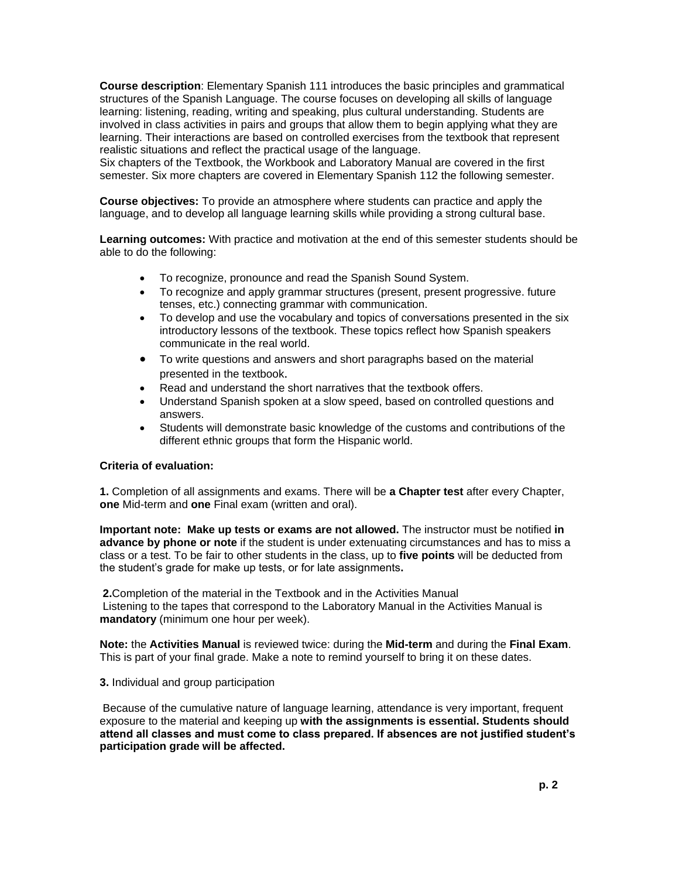**Course description**: Elementary Spanish 111 introduces the basic principles and grammatical structures of the Spanish Language. The course focuses on developing all skills of language learning: listening, reading, writing and speaking, plus cultural understanding. Students are involved in class activities in pairs and groups that allow them to begin applying what they are learning. Their interactions are based on controlled exercises from the textbook that represent realistic situations and reflect the practical usage of the language.

Six chapters of the Textbook, the Workbook and Laboratory Manual are covered in the first semester. Six more chapters are covered in Elementary Spanish 112 the following semester.

**Course objectives:** To provide an atmosphere where students can practice and apply the language, and to develop all language learning skills while providing a strong cultural base.

**Learning outcomes:** With practice and motivation at the end of this semester students should be able to do the following:

- To recognize, pronounce and read the Spanish Sound System.
- To recognize and apply grammar structures (present, present progressive. future tenses, etc.) connecting grammar with communication.
- To develop and use the vocabulary and topics of conversations presented in the six introductory lessons of the textbook. These topics reflect how Spanish speakers communicate in the real world.
- To write questions and answers and short paragraphs based on the material presented in the textbook.
- Read and understand the short narratives that the textbook offers.
- Understand Spanish spoken at a slow speed, based on controlled questions and answers.
- Students will demonstrate basic knowledge of the customs and contributions of the different ethnic groups that form the Hispanic world.

## **Criteria of evaluation:**

**1.** Completion of all assignments and exams. There will be **a Chapter test** after every Chapter, **one** Mid-term and **one** Final exam (written and oral).

**Important note: Make up tests or exams are not allowed.** The instructor must be notified **in advance by phone or note** if the student is under extenuating circumstances and has to miss a class or a test. To be fair to other students in the class, up to **five points** will be deducted from the student's grade for make up tests, or for late assignments**.**

**2.**Completion of the material in the Textbook and in the Activities Manual Listening to the tapes that correspond to the Laboratory Manual in the Activities Manual is **mandatory** (minimum one hour per week).

**Note:** the **Activities Manual** is reviewed twice: during the **Mid-term** and during the **Final Exam**. This is part of your final grade. Make a note to remind yourself to bring it on these dates.

## **3.** Individual and group participation

Because of the cumulative nature of language learning, attendance is very important, frequent exposure to the material and keeping up **with the assignments is essential. Students should attend all classes and must come to class prepared. If absences are not justified student's participation grade will be affected.**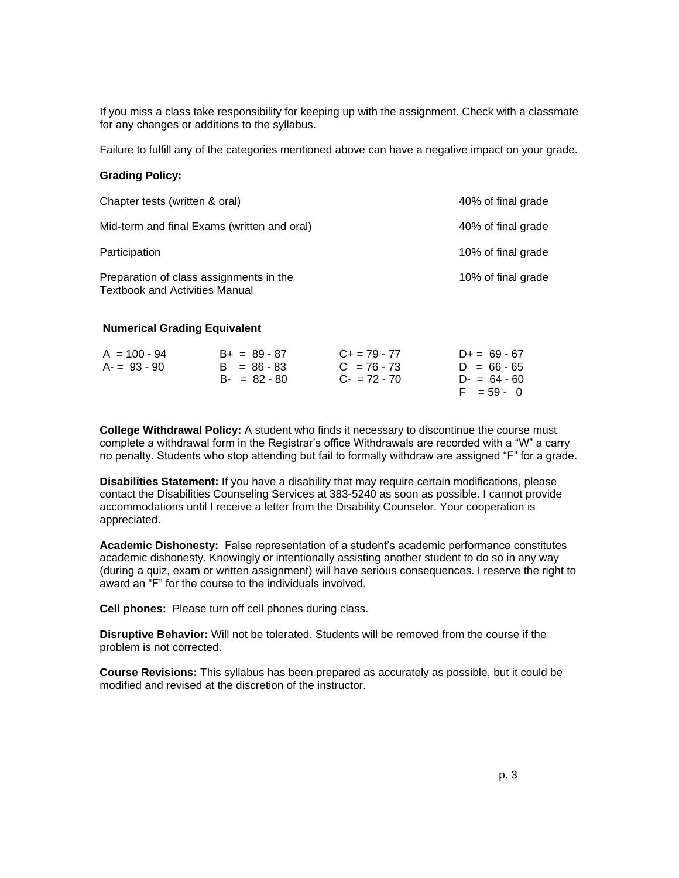If you miss a class take responsibility for keeping up with the assignment. Check with a classmate for any changes or additions to the syllabus.

Failure to fulfill any of the categories mentioned above can have a negative impact on your grade.

#### **Grading Policy:**

| Chapter tests (written & oral)                                                   | 40% of final grade |
|----------------------------------------------------------------------------------|--------------------|
| Mid-term and final Exams (written and oral)                                      | 40% of final grade |
| Participation                                                                    | 10% of final grade |
| Preparation of class assignments in the<br><b>Textbook and Activities Manual</b> | 10% of final grade |

## **Numerical Grading Equivalent**

| $A = 100 - 94$ | $B+ = 89 - 87$  | $C_{+}$ = 79 - 77        | $D+= 69 - 67$   |
|----------------|-----------------|--------------------------|-----------------|
| $A = 93 - 90$  | $B = 86 - 83$   | $C = 76 - 73$            | $D = 66 - 65$   |
|                | $B - = 82 - 80$ | $C_{\text{F}} = 72 - 70$ | $D - = 64 - 60$ |
|                |                 |                          | $F = 59 - 0$    |

**College Withdrawal Policy:** A student who finds it necessary to discontinue the course must complete a withdrawal form in the Registrar's office Withdrawals are recorded with a "W" a carry no penalty. Students who stop attending but fail to formally withdraw are assigned "F" for a grade.

**Disabilities Statement:** If you have a disability that may require certain modifications, please contact the Disabilities Counseling Services at 383-5240 as soon as possible. I cannot provide accommodations until I receive a letter from the Disability Counselor. Your cooperation is appreciated.

**Academic Dishonesty:** False representation of a student's academic performance constitutes academic dishonesty. Knowingly or intentionally assisting another student to do so in any way (during a quiz, exam or written assignment) will have serious consequences. I reserve the right to award an "F" for the course to the individuals involved.

**Cell phones:** Please turn off cell phones during class.

**Disruptive Behavior:** Will not be tolerated. Students will be removed from the course if the problem is not corrected.

**Course Revisions:** This syllabus has been prepared as accurately as possible, but it could be modified and revised at the discretion of the instructor.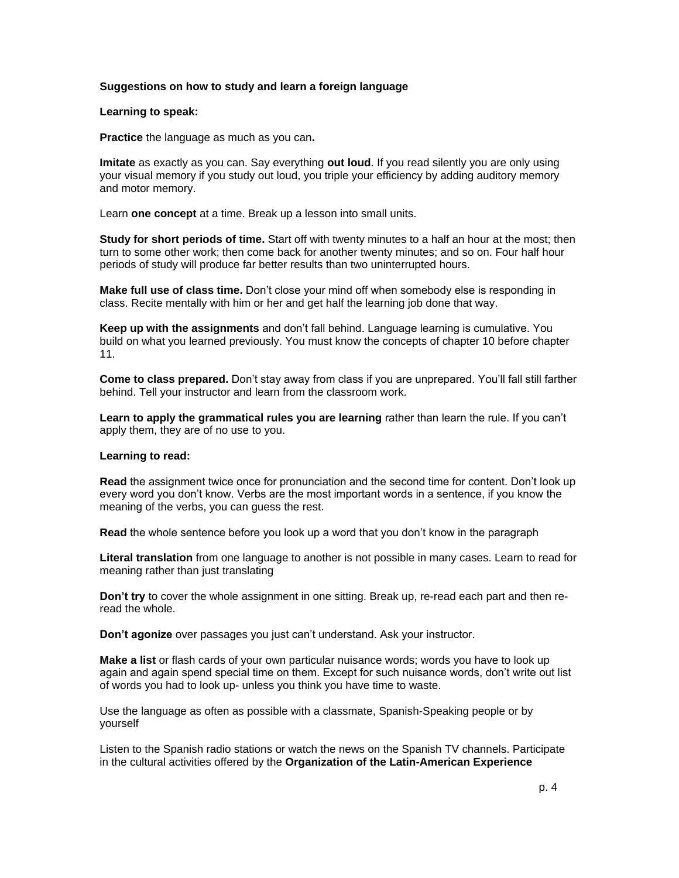## **Suggestions on how to study and learn a foreign language**

#### **Learning to speak:**

**Practice** the language as much as you can**.**

**Imitate** as exactly as you can. Say everything **out loud**. If you read silently you are only using your visual memory if you study out loud, you triple your efficiency by adding auditory memory and motor memory.

Learn **one concept** at a time. Break up a lesson into small units.

**Study for short periods of time.** Start off with twenty minutes to a half an hour at the most; then turn to some other work; then come back for another twenty minutes; and so on. Four half hour periods of study will produce far better results than two uninterrupted hours.

**Make full use of class time.** Don't close your mind off when somebody else is responding in class. Recite mentally with him or her and get half the learning job done that way.

**Keep up with the assignments** and don't fall behind. Language learning is cumulative. You build on what you learned previously. You must know the concepts of chapter 10 before chapter 11.

**Come to class prepared.** Don't stay away from class if you are unprepared. You'll fall still farther behind. Tell your instructor and learn from the classroom work.

**Learn to apply the grammatical rules you are learning** rather than learn the rule. If you can't apply them, they are of no use to you.

#### **Learning to read:**

**Read** the assignment twice once for pronunciation and the second time for content. Don't look up every word you don't know. Verbs are the most important words in a sentence, if you know the meaning of the verbs, you can guess the rest.

**Read** the whole sentence before you look up a word that you don't know in the paragraph

**Literal translation** from one language to another is not possible in many cases. Learn to read for meaning rather than just translating

**Don't try** to cover the whole assignment in one sitting. Break up, re-read each part and then reread the whole.

**Don't agonize** over passages you just can't understand. Ask your instructor.

**Make a list** or flash cards of your own particular nuisance words; words you have to look up again and again spend special time on them. Except for such nuisance words, don't write out list of words you had to look up- unless you think you have time to waste.

Use the language as often as possible with a classmate, Spanish-Speaking people or by yourself

Listen to the Spanish radio stations or watch the news on the Spanish TV channels. Participate in the cultural activities offered by the **Organization of the Latin-American Experience**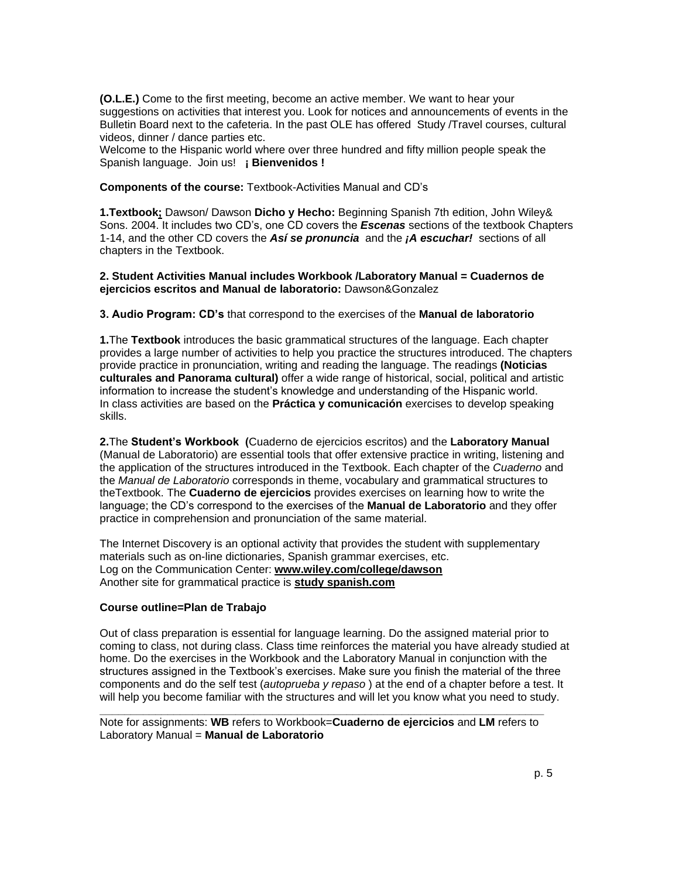**(O.L.E.)** Come to the first meeting, become an active member. We want to hear your suggestions on activities that interest you. Look for notices and announcements of events in the Bulletin Board next to the cafeteria. In the past OLE has offered Study /Travel courses, cultural videos, dinner / dance parties etc.

Welcome to the Hispanic world where over three hundred and fifty million people speak the Spanish language. Join us! **¡ Bienvenidos !** 

**Components of the course:** Textbook-Activities Manual and CD's

**1.Textbook;** Dawson/ Dawson **Dicho y Hecho:** Beginning Spanish 7th edition, John Wiley& Sons. 2004. It includes two CD's, one CD covers the *Escenas* sections of the textbook Chapters 1-14, and the other CD covers the *Así se pronuncia*and the *¡A escuchar!* sections of all chapters in the Textbook.

## **2. Student Activities Manual includes Workbook /Laboratory Manual = Cuadernos de ejercicios escritos and Manual de laboratorio:** Dawson&Gonzalez

## **3. Audio Program: CD's** that correspond to the exercises of the **Manual de laboratorio**

**1.**The **Textbook** introduces the basic grammatical structures of the language. Each chapter provides a large number of activities to help you practice the structures introduced. The chapters provide practice in pronunciation, writing and reading the language. The readings **(Noticias culturales and Panorama cultural)** offer a wide range of historical, social, political and artistic information to increase the student's knowledge and understanding of the Hispanic world. In class activities are based on the **Práctica y comunicación** exercises to develop speaking skills.

**2.**The **Student's Workbook (**Cuaderno de ejercicios escritos) and the **Laboratory Manual** (Manual de Laboratorio) are essential tools that offer extensive practice in writing, listening and the application of the structures introduced in the Textbook. Each chapter of the *Cuaderno* and the *Manual de Laboratorio* corresponds in theme, vocabulary and grammatical structures to theTextbook. The **Cuaderno de ejercicios** provides exercises on learning how to write the language; the CD's correspond to the exercises of the **Manual de Laboratorio** and they offer practice in comprehension and pronunciation of the same material.

The Internet Discovery is an optional activity that provides the student with supplementary materials such as on-line dictionaries, Spanish grammar exercises, etc. Log on the Communication Center: **www.wiley.com/college/dawson** Another site for grammatical practice is **study spanish.com**

## **Course outline=Plan de Trabajo**

Out of class preparation is essential for language learning. Do the assigned material prior to coming to class, not during class. Class time reinforces the material you have already studied at home. Do the exercises in the Workbook and the Laboratory Manual in conjunction with the structures assigned in the Textbook's exercises. Make sure you finish the material of the three components and do the self test (*autoprueba y repaso* ) at the end of a chapter before a test. It will help you become familiar with the structures and will let you know what you need to study.

**\_\_\_\_\_\_\_\_\_\_\_\_\_\_\_\_\_\_\_\_\_\_\_\_\_\_\_\_\_\_\_\_\_\_\_\_\_\_\_\_\_\_\_\_\_\_\_\_\_\_\_\_\_\_\_\_\_\_\_\_\_\_\_\_\_\_\_\_\_\_\_\_** Note for assignments: **WB** refers to Workbook=**Cuaderno de ejercicios** and **LM** refers to Laboratory Manual = **Manual de Laboratorio**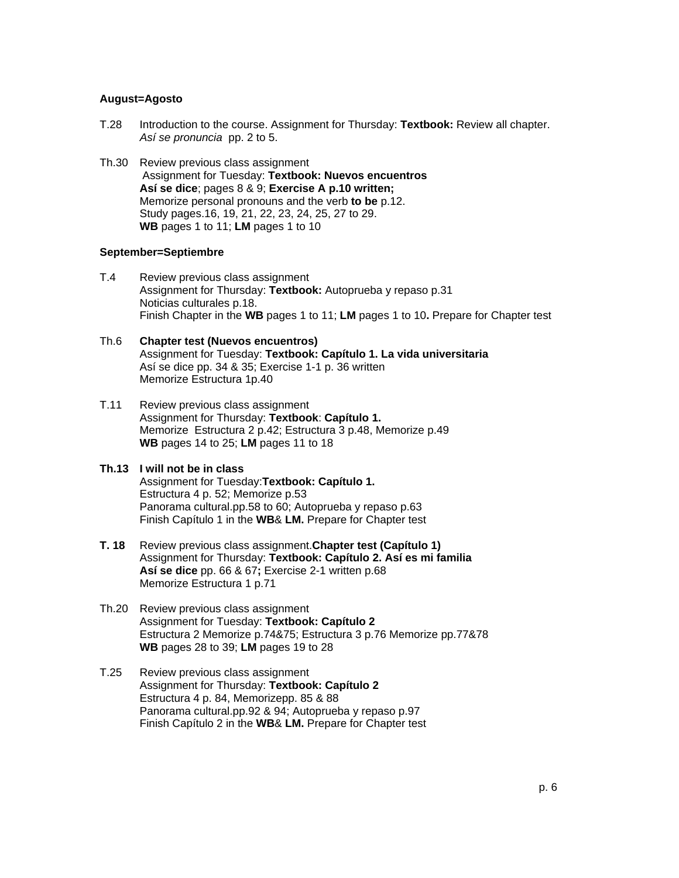### **August=Agosto**

- T.28 Introduction to the course. Assignment for Thursday: **Textbook:** Review all chapter. *Así se pronuncia* pp. 2 to 5.
- Th.30 Review previous class assignment Assignment for Tuesday: **Textbook: Nuevos encuentros Así se dice**; pages 8 & 9; **Exercise A p.10 written;** Memorize personal pronouns and the verb **to be** p.12. Study pages.16, 19, 21, 22, 23, 24, 25, 27 to 29. **WB** pages 1 to 11; **LM** pages 1 to 10

#### **September=Septiembre**

T.4 Review previous class assignment Assignment for Thursday: **Textbook:** Autoprueba y repaso p.31 Noticias culturales p.18. Finish Chapter in the **WB** pages 1 to 11; **LM** pages 1 to 10**.** Prepare for Chapter test

## Th.6 **Chapter test (Nuevos encuentros)** Assignment for Tuesday: **Textbook: Capítulo 1. La vida universitaria** Así se dice pp. 34 & 35; Exercise 1-1 p. 36 written Memorize Estructura 1p.40

T.11 Review previous class assignment Assignment for Thursday: **Textbook**: **Capítulo 1.** Memorize Estructura 2 p.42; Estructura 3 p.48, Memorize p.49 **WB** pages 14 to 25; **LM** pages 11 to 18

## **Th.13 I will not be in class**

Assignment for Tuesday:**Textbook: Capítulo 1.** Estructura 4 p. 52; Memorize p.53 Panorama cultural.pp.58 to 60; Autoprueba y repaso p.63 Finish Capítulo 1 in the **WB**& **LM.** Prepare for Chapter test

- **T. 18** Review previous class assignment.**Chapter test (Capítulo 1)**  Assignment for Thursday: **Textbook: Capítulo 2. Así es mi familia Así se dice** pp. 66 & 67**;** Exercise 2-1 written p.68 Memorize Estructura 1 p.71
- Th.20 Review previous class assignment Assignment for Tuesday: **Textbook: Capítulo 2** Estructura 2 Memorize p.74&75; Estructura 3 p.76 Memorize pp.77&78 **WB** pages 28 to 39; **LM** pages 19 to 28
- T.25 Review previous class assignment Assignment for Thursday: **Textbook: Capítulo 2** Estructura 4 p. 84, Memorizepp. 85 & 88 Panorama cultural.pp.92 & 94; Autoprueba y repaso p.97 Finish Capítulo 2 in the **WB**& **LM.** Prepare for Chapter test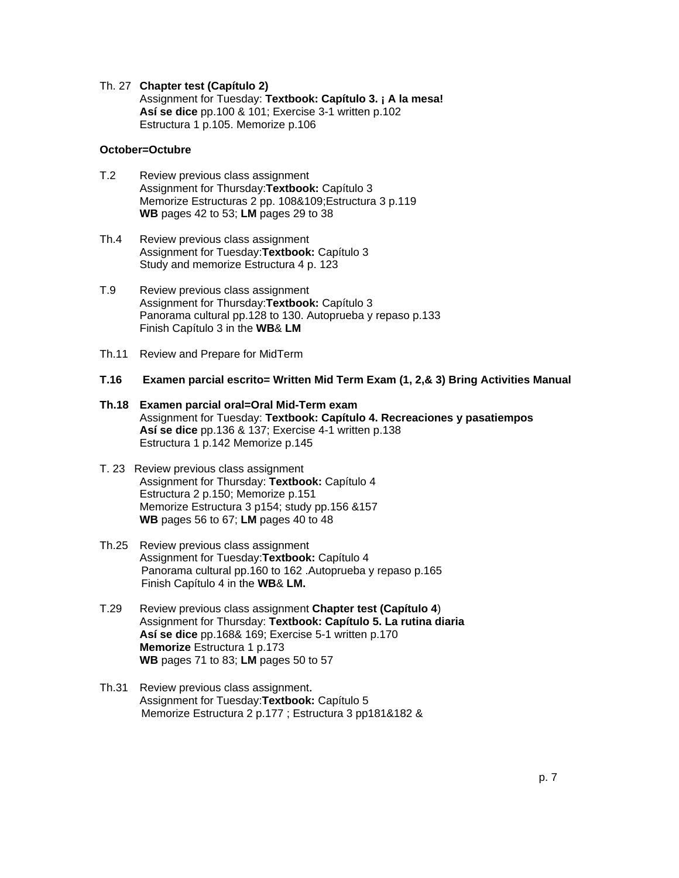#### Th. 27 **Chapter test (Capítulo 2)**

Assignment for Tuesday: **Textbook: Capítulo 3. ¡ A la mesa! Así se dice** pp.100 & 101; Exercise 3-1 written p.102 Estructura 1 p.105. Memorize p.106

### **October=Octubre**

- T.2 Review previous class assignment Assignment for Thursday:**Textbook:** Capítulo 3 Memorize Estructuras 2 pp. 108&109;Estructura 3 p.119 **WB** pages 42 to 53; **LM** pages 29 to 38
- Th.4 Review previous class assignment Assignment for Tuesday:**Textbook:** Capítulo 3 Study and memorize Estructura 4 p. 123
- T.9 Review previous class assignment Assignment for Thursday:**Textbook:** Capítulo 3 Panorama cultural pp.128 to 130. Autoprueba y repaso p.133 Finish Capítulo 3 in the **WB**& **LM**
- Th.11 Review and Prepare for MidTerm
- **T.16 Examen parcial escrito= Written Mid Term Exam (1, 2,& 3) Bring Activities Manual**
- **Th.18 Examen parcial oral=Oral Mid-Term exam** Assignment for Tuesday: **Textbook: Capítulo 4. Recreaciones y pasatiempos Así se dice** pp.136 & 137; Exercise 4-1 written p.138 Estructura 1 p.142 Memorize p.145
- T. 23Review previous class assignment Assignment for Thursday: **Textbook:** Capítulo 4 Estructura 2 p.150; Memorize p.151 Memorize Estructura 3 p154; study pp.156 &157 **WB** pages 56 to 67; **LM** pages 40 to 48
- Th.25Review previous class assignment Assignment for Tuesday:**Textbook:** Capítulo 4 Panorama cultural pp.160 to 162 .Autoprueba y repaso p.165 Finish Capítulo 4 in the **WB**& **LM.**
- T.29 Review previous class assignment **Chapter test (Capítulo 4**) Assignment for Thursday: **Textbook: Capítulo 5. La rutina diaria Así se dice** pp.168& 169; Exercise 5-1 written p.170 **Memorize** Estructura 1 p.173 **WB** pages 71 to 83; **LM** pages 50 to 57
- Th.31 Review previous class assignment. Assignment for Tuesday:**Textbook:** Capítulo 5 Memorize Estructura 2 p.177 ; Estructura 3 pp181&182 &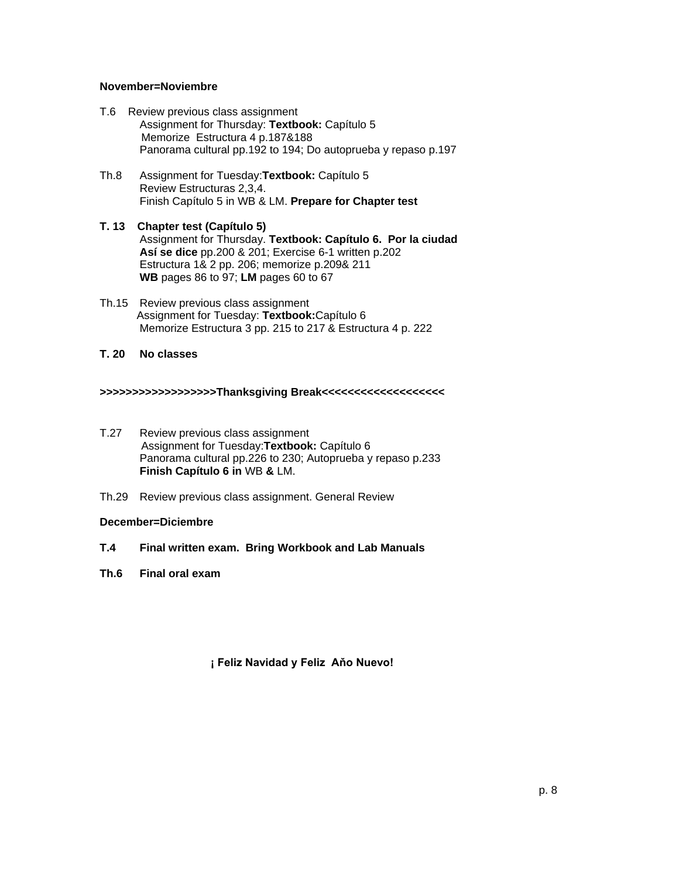## **November=Noviembre**

- T.6 Review previous class assignment Assignment for Thursday: **Textbook:** Capítulo 5 Memorize Estructura 4 p.187&188 Panorama cultural pp.192 to 194; Do autoprueba y repaso p.197
- Th.8 Assignment for Tuesday:**Textbook:** Capítulo 5 Review Estructuras 2,3,4. Finish Capítulo 5 in WB & LM. **Prepare for Chapter test**
- **T. 13 Chapter test (Capítulo 5)** Assignment for Thursday. **Textbook: Capítulo 6. Por la ciudad Así se dice** pp.200 & 201; Exercise 6-1 written p.202 Estructura 1& 2 pp. 206; memorize p.209& 211 **WB** pages 86 to 97; **LM** pages 60 to 67
- Th.15 Review previous class assignment Assignment for Tuesday: **Textbook:**Capítulo 6 Memorize Estructura 3 pp. 215 to 217 & Estructura 4 p. 222

**T. 20 No classes**

**>>>>>>>>>>>>>>>>>>Thanksgiving Break<<<<<<<<<<<<<<<<<<<**

- T.27 Review previous class assignment Assignment for Tuesday:**Textbook:** Capítulo 6 Panorama cultural pp.226 to 230; Autoprueba y repaso p.233 **Finish Capítulo 6 in** WB **&** LM.
- Th.29 Review previous class assignment. General Review

## **December=Diciembre**

- **T.4 Final written exam. Bring Workbook and Lab Manuals**
- **Th.6 Final oral exam**

**¡ Feliz Navidad y Feliz Aňo Nuevo!**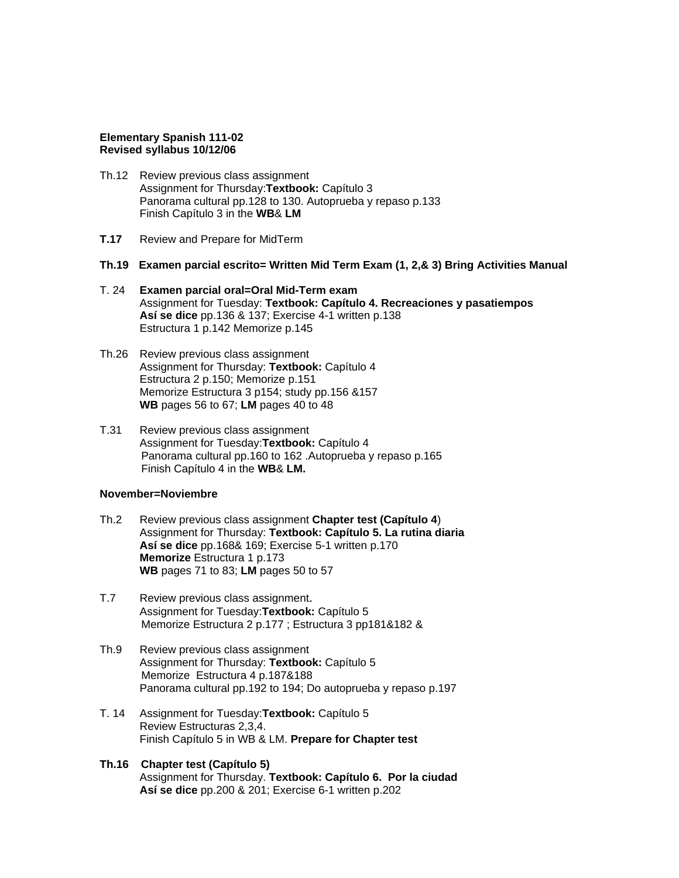### **Elementary Spanish 111-02 Revised syllabus 10/12/06**

- Th.12 Review previous class assignment Assignment for Thursday:**Textbook:** Capítulo 3 Panorama cultural pp.128 to 130. Autoprueba y repaso p.133 Finish Capítulo 3 in the **WB**& **LM**
- **T.17** Review and Prepare for MidTerm
- **Th.19 Examen parcial escrito= Written Mid Term Exam (1, 2,& 3) Bring Activities Manual**
- T. 24 **Examen parcial oral=Oral Mid-Term exam** Assignment for Tuesday: **Textbook: Capítulo 4. Recreaciones y pasatiempos Así se dice** pp.136 & 137; Exercise 4-1 written p.138 Estructura 1 p.142 Memorize p.145
- Th.26Review previous class assignment Assignment for Thursday: **Textbook:** Capítulo 4 Estructura 2 p.150; Memorize p.151 Memorize Estructura 3 p154; study pp.156 &157 **WB** pages 56 to 67; **LM** pages 40 to 48
- T.31 Review previous class assignment Assignment for Tuesday:**Textbook:** Capítulo 4 Panorama cultural pp.160 to 162 .Autoprueba y repaso p.165 Finish Capítulo 4 in the **WB**& **LM.**

## **November=Noviembre**

- Th.2 Review previous class assignment **Chapter test (Capítulo 4**) Assignment for Thursday: **Textbook: Capítulo 5. La rutina diaria Así se dice** pp.168& 169; Exercise 5-1 written p.170 **Memorize** Estructura 1 p.173 **WB** pages 71 to 83; **LM** pages 50 to 57
- T.7 Review previous class assignment. Assignment for Tuesday:**Textbook:** Capítulo 5 Memorize Estructura 2 p.177 ; Estructura 3 pp181&182 &
- Th.9 Review previous class assignment Assignment for Thursday: **Textbook:** Capítulo 5 Memorize Estructura 4 p.187&188 Panorama cultural pp.192 to 194; Do autoprueba y repaso p.197
- T. 14 Assignment for Tuesday:**Textbook:** Capítulo 5 Review Estructuras 2,3,4. Finish Capítulo 5 in WB & LM. **Prepare for Chapter test**
- **Th.16 Chapter test (Capítulo 5)** Assignment for Thursday. **Textbook: Capítulo 6. Por la ciudad Así se dice** pp.200 & 201; Exercise 6-1 written p.202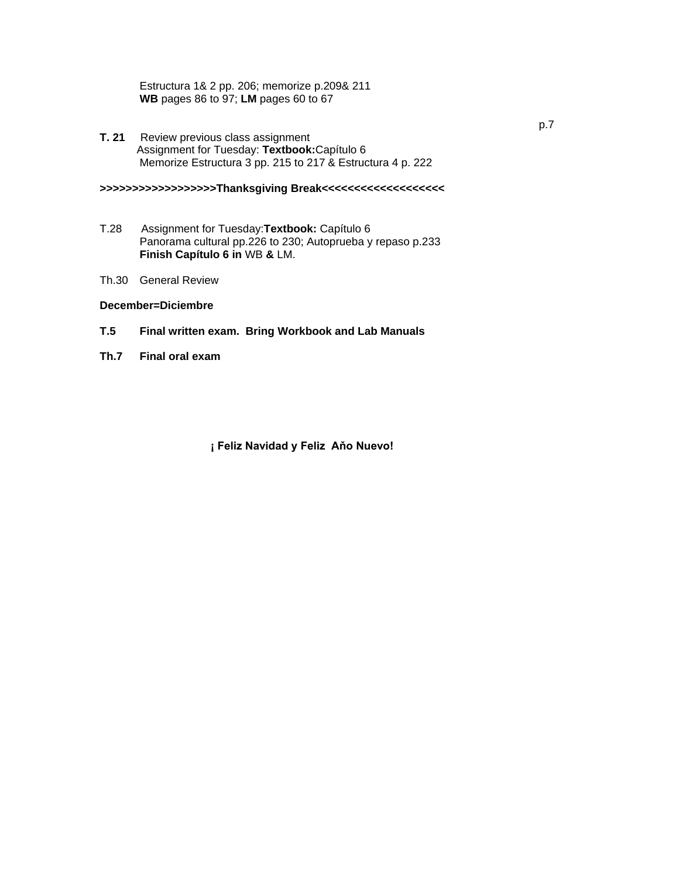Estructura 1& 2 pp. 206; memorize p.209& 211 **WB** pages 86 to 97; **LM** pages 60 to 67

**T. 21** Review previous class assignment Assignment for Tuesday: **Textbook:**Capítulo 6 Memorize Estructura 3 pp. 215 to 217 & Estructura 4 p. 222

**>>>>>>>>>>>>>>>>>>Thanksgiving Break<<<<<<<<<<<<<<<<<<<**

- T.28 Assignment for Tuesday:**Textbook:** Capítulo 6 Panorama cultural pp.226 to 230; Autoprueba y repaso p.233 **Finish Capítulo 6 in** WB **&** LM.
- Th.30 General Review

## **December=Diciembre**

- **T.5 Final written exam. Bring Workbook and Lab Manuals**
- **Th.7 Final oral exam**

**¡ Feliz Navidad y Feliz Aňo Nuevo!**